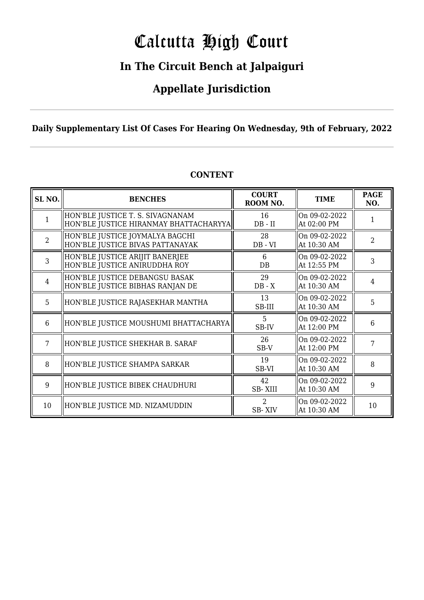# Calcutta High Court

### **In The Circuit Bench at Jalpaiguri**

### **Appellate Jurisdiction**

### **Daily Supplementary List Of Cases For Hearing On Wednesday, 9th of February, 2022**

| SL <sub>NO</sub> . | <b>BENCHES</b>                                                             | <b>COURT</b><br>ROOM NO.        | <b>TIME</b>                  | <b>PAGE</b><br>NO. |
|--------------------|----------------------------------------------------------------------------|---------------------------------|------------------------------|--------------------|
|                    | HON'BLE JUSTICE T. S. SIVAGNANAM<br>HON'BLE JUSTICE HIRANMAY BHATTACHARYYA | 16<br>$DB$ - $II$               | On 09-02-2022<br>At 02:00 PM |                    |
| $\overline{2}$     | HON'BLE JUSTICE JOYMALYA BAGCHI<br>HON'BLE JUSTICE BIVAS PATTANAYAK        | 28<br>$DB - VI$                 | On 09-02-2022<br>At 10:30 AM | 2                  |
| 3                  | HON'BLE JUSTICE ARIJIT BANERJEE<br>HON'BLE JUSTICE ANIRUDDHA ROY           | 6<br>$DB$                       | On 09-02-2022<br>At 12:55 PM | 3                  |
| $\overline{4}$     | HON'BLE JUSTICE DEBANGSU BASAK<br>HON'BLE JUSTICE BIBHAS RANJAN DE         | 29<br>$DB - X$                  | On 09-02-2022<br>At 10:30 AM | 4                  |
| 5                  | HON'BLE JUSTICE RAJASEKHAR MANTHA                                          | 13<br>SB-III                    | On 09-02-2022<br>At 10:30 AM | 5                  |
| 6                  | HON'BLE JUSTICE MOUSHUMI BHATTACHARYA                                      | 5<br>SB-IV                      | On 09-02-2022<br>At 12:00 PM | 6                  |
| 7                  | HON'BLE JUSTICE SHEKHAR B. SARAF                                           | 26<br>SB-V                      | On 09-02-2022<br>At 12:00 PM | 7                  |
| 8                  | HON'BLE JUSTICE SHAMPA SARKAR                                              | 19<br>SB-VI                     | On 09-02-2022<br>At 10:30 AM | 8                  |
| 9                  | HON'BLE JUSTICE BIBEK CHAUDHURI                                            | 42<br><b>SB-XIII</b>            | On 09-02-2022<br>At 10:30 AM | 9                  |
| 10                 | HON'BLE JUSTICE MD. NIZAMUDDIN                                             | $\overline{2}$<br><b>SB-XIV</b> | On 09-02-2022<br>At 10:30 AM | 10                 |

### **CONTENT**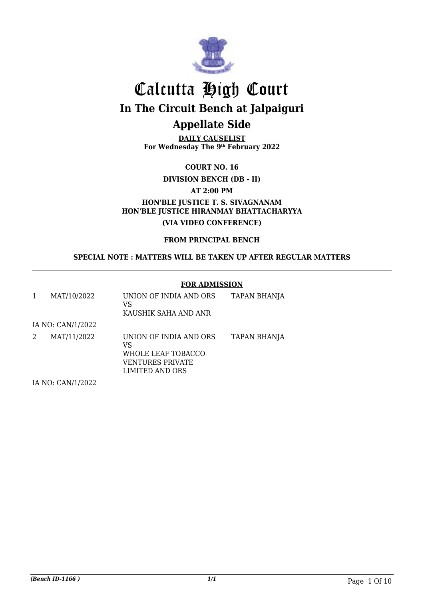

**DAILY CAUSELIST For Wednesday The 9th February 2022**

**COURT NO. 16**

**DIVISION BENCH (DB - II)**

**AT 2:00 PM**

**HON'BLE JUSTICE T. S. SIVAGNANAM HON'BLE JUSTICE HIRANMAY BHATTACHARYYA (VIA VIDEO CONFERENCE)**

**FROM PRINCIPAL BENCH**

**SPECIAL NOTE : MATTERS WILL BE TAKEN UP AFTER REGULAR MATTERS**

#### **FOR ADMISSION**

|   | MAT/10/2022                                                                                         | UNION OF INDIA AND ORS<br>VS<br>KAUSHIK SAHA AND ANR                                      | TAPAN BHANJA        |
|---|-----------------------------------------------------------------------------------------------------|-------------------------------------------------------------------------------------------|---------------------|
|   | IA NO: CAN/1/2022                                                                                   |                                                                                           |                     |
| 2 | MAT/11/2022                                                                                         | UNION OF INDIA AND ORS<br>VS<br>WHOLE LEAF TOBACCO<br>VENTURES PRIVATE<br>LIMITED AND ORS | <b>TAPAN BHANJA</b> |
|   | $\overline{11}$ $\overline{10}$ $\overline{0}$ $\overline{111}$ $\overline{111}$ $\overline{10000}$ |                                                                                           |                     |

IA NO: CAN/1/2022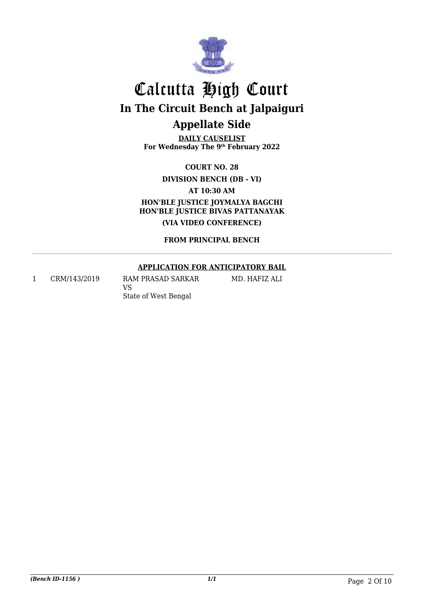

**DAILY CAUSELIST For Wednesday The 9th February 2022**

**COURT NO. 28**

**DIVISION BENCH (DB - VI)**

**AT 10:30 AM**

**HON'BLE JUSTICE JOYMALYA BAGCHI HON'BLE JUSTICE BIVAS PATTANAYAK (VIA VIDEO CONFERENCE)**

**FROM PRINCIPAL BENCH**

#### **APPLICATION FOR ANTICIPATORY BAIL**

MD. HAFIZ ALI

1 CRM/143/2019 RAM PRASAD SARKAR VS State of West Bengal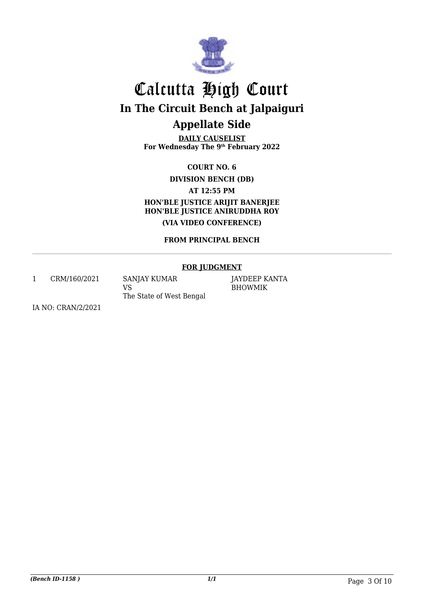

**DAILY CAUSELIST For Wednesday The 9th February 2022**

**COURT NO. 6**

**DIVISION BENCH (DB)**

**AT 12:55 PM**

**HON'BLE JUSTICE ARIJIT BANERJEE HON'BLE JUSTICE ANIRUDDHA ROY (VIA VIDEO CONFERENCE)**

**FROM PRINCIPAL BENCH**

#### **FOR JUDGMENT**

1 CRM/160/2021 SANJAY KUMAR VS The State of West Bengal

JAYDEEP KANTA BHOWMIK

IA NO: CRAN/2/2021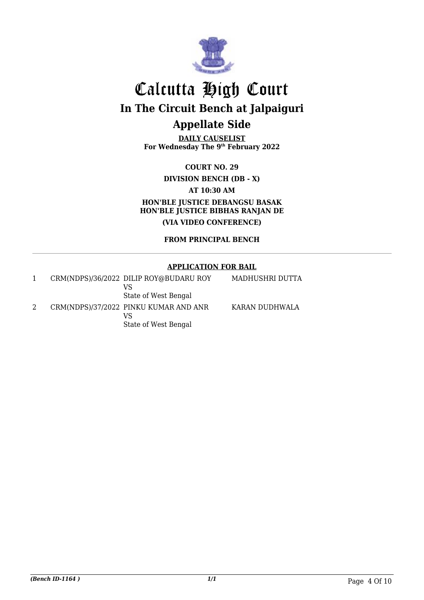

**DAILY CAUSELIST For Wednesday The 9th February 2022**

**COURT NO. 29 DIVISION BENCH (DB - X) AT 10:30 AM HON'BLE JUSTICE DEBANGSU BASAK HON'BLE JUSTICE BIBHAS RANJAN DE (VIA VIDEO CONFERENCE)**

**FROM PRINCIPAL BENCH**

#### **APPLICATION FOR BAIL**

|  | CRM(NDPS)/36/2022 DILIP ROY@BUDARU ROY<br>VS<br>State of West Bengal | MADHUSHRI DUTTA |
|--|----------------------------------------------------------------------|-----------------|
|  | CRM(NDPS)/37/2022 PINKU KUMAR AND ANR<br>VS<br>State of West Bengal  | KARAN DUDHWALA  |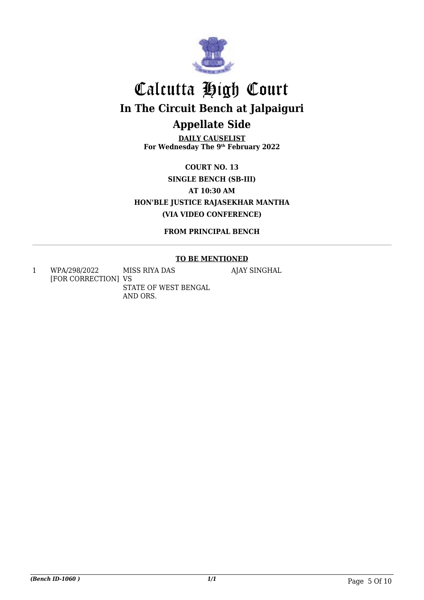

**DAILY CAUSELIST For Wednesday The 9th February 2022**

**COURT NO. 13 SINGLE BENCH (SB-III) AT 10:30 AM HON'BLE JUSTICE RAJASEKHAR MANTHA (VIA VIDEO CONFERENCE)**

**FROM PRINCIPAL BENCH**

#### **TO BE MENTIONED**

AJAY SINGHAL

1 WPA/298/2022 [FOR CORRECTION] VS MISS RIYA DAS STATE OF WEST BENGAL AND ORS.

*(Bench ID-1060 ) 1/1* Page 5 Of 10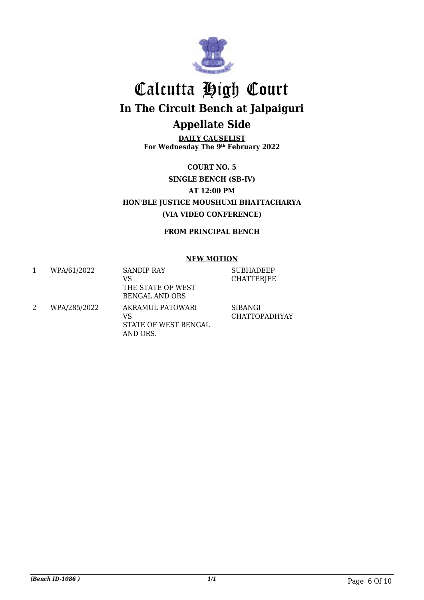

**DAILY CAUSELIST For Wednesday The 9th February 2022**

**COURT NO. 5 SINGLE BENCH (SB-IV) AT 12:00 PM HON'BLE JUSTICE MOUSHUMI BHATTACHARYA (VIA VIDEO CONFERENCE)**

**FROM PRINCIPAL BENCH**

#### **NEW MOTION**

|   | WPA/61/2022  | <b>SANDIP RAY</b><br>VS<br>THE STATE OF WEST<br><b>BENGAL AND ORS</b> | <b>SUBHADEEP</b><br><b>CHATTERJEE</b> |
|---|--------------|-----------------------------------------------------------------------|---------------------------------------|
| 2 | WPA/285/2022 | AKRAMUL PATOWARI<br>VS<br>STATE OF WEST BENGAL<br>AND ORS.            | SIBANGI<br><b>CHATTOPADHYAY</b>       |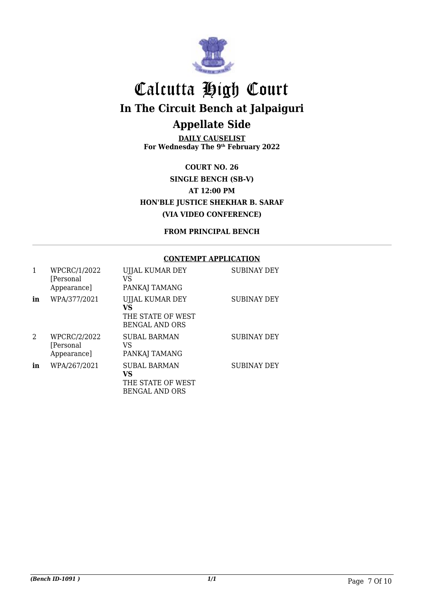

**DAILY CAUSELIST For Wednesday The 9th February 2022**

**COURT NO. 26 SINGLE BENCH (SB-V) AT 12:00 PM HON'BLE JUSTICE SHEKHAR B. SARAF (VIA VIDEO CONFERENCE)**

**FROM PRINCIPAL BENCH**

#### **CONTEMPT APPLICATION**

|    | WPCRC/1/2022<br>[Personal]<br>Appearance] | UJJAL KUMAR DEY<br>VS<br>PANKAJ TAMANG                                  | <b>SUBINAY DEY</b> |
|----|-------------------------------------------|-------------------------------------------------------------------------|--------------------|
| in | WPA/377/2021                              | UJJAL KUMAR DEY<br>VS<br>THE STATE OF WEST<br><b>BENGAL AND ORS</b>     | <b>SUBINAY DEY</b> |
| 2  | WPCRC/2/2022<br>[Personal]<br>Appearance] | <b>SUBAL BARMAN</b><br>VS<br>PANKAJ TAMANG                              | <b>SUBINAY DEY</b> |
| in | WPA/267/2021                              | <b>SUBAL BARMAN</b><br>VS<br>THE STATE OF WEST<br><b>BENGAL AND ORS</b> | <b>SUBINAY DEY</b> |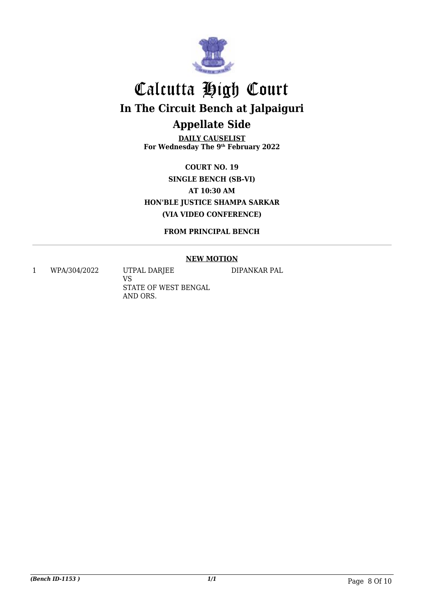

**DAILY CAUSELIST For Wednesday The 9th February 2022**

**COURT NO. 19 SINGLE BENCH (SB-VI) AT 10:30 AM HON'BLE JUSTICE SHAMPA SARKAR (VIA VIDEO CONFERENCE)**

**FROM PRINCIPAL BENCH**

#### **NEW MOTION**

1 WPA/304/2022 UTPAL DARJEE

VS STATE OF WEST BENGAL AND ORS.

DIPANKAR PAL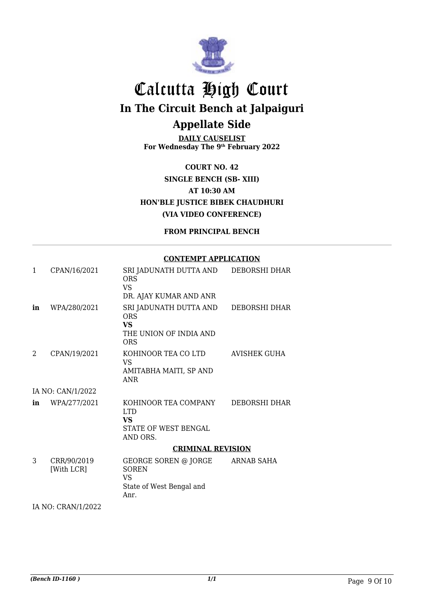

**DAILY CAUSELIST For Wednesday The 9th February 2022**

**COURT NO. 42 SINGLE BENCH (SB- XIII) AT 10:30 AM HON'BLE JUSTICE BIBEK CHAUDHURI (VIA VIDEO CONFERENCE)**

**FROM PRINCIPAL BENCH**

#### **CONTEMPT APPLICATION**

| 1  | CPAN/16/2021              | SRI JADUNATH DUTTA AND<br>ORS<br><b>VS</b><br>DR. AJAY KUMAR AND ANR                      | DEBORSHI DHAR       |
|----|---------------------------|-------------------------------------------------------------------------------------------|---------------------|
| in | WPA/280/2021              | SRI JADUNATH DUTTA AND<br><b>ORS</b><br><b>VS</b><br>THE UNION OF INDIA AND<br><b>ORS</b> | DEBORSHI DHAR       |
| 2  | CPAN/19/2021              | KOHINOOR TEA CO LTD<br>VS<br>AMITABHA MAITI, SP AND<br><b>ANR</b>                         | <b>AVISHEK GUHA</b> |
|    | IA NO: CAN/1/2022         |                                                                                           |                     |
| in | WPA/277/2021              | KOHINOOR TEA COMPANY<br>LTD.<br>VS<br>STATE OF WEST BENGAL<br>AND ORS.                    | DEBORSHI DHAR       |
|    |                           | <b>CRIMINAL REVISION</b>                                                                  |                     |
| 3  | CRR/90/2019<br>[With LCR] | GEORGE SOREN @ JORGE<br><b>SOREN</b><br><b>VS</b><br>State of West Bengal and<br>Anr.     | ARNAB SAHA          |

IA NO: CRAN/1/2022